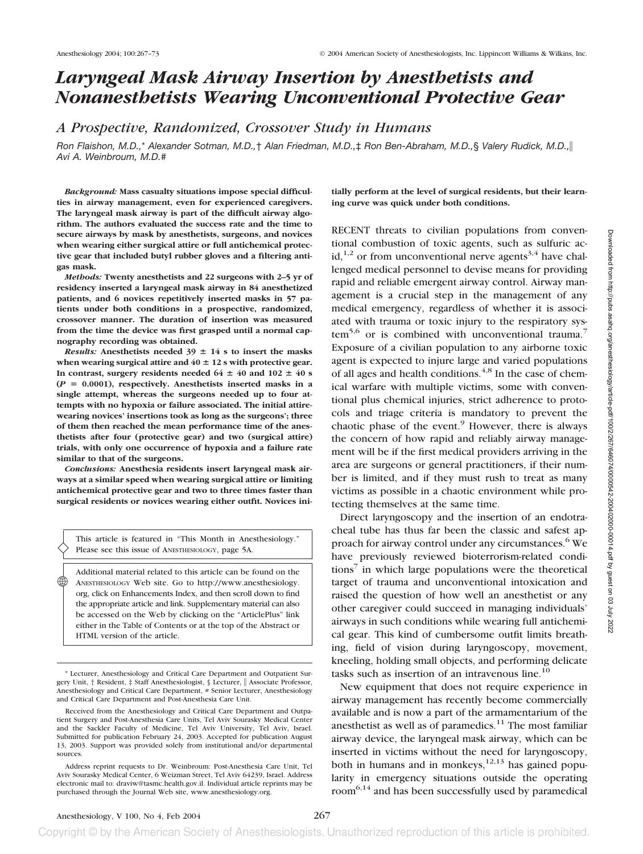# *Laryngeal Mask Airway Insertion by Anesthetists and Nonanesthetists Wearing Unconventional Protective Gear*

*A Prospective, Randomized, Crossover Study in Humans*

*Ron Flaishon, M.D.,*\* *Alexander Sotman, M.D.,*† *Alan Friedman, M.D.,*‡ *Ron Ben-Abraham, M.D.,*§ *Valery Rudick, M.D., Avi A. Weinbroum, M.D.*#

*Background:* **Mass casualty situations impose special difficulties in airway management, even for experienced caregivers. The laryngeal mask airway is part of the difficult airway algorithm. The authors evaluated the success rate and the time to secure airways by mask by anesthetists, surgeons, and novices when wearing either surgical attire or full antichemical protective gear that included butyl rubber gloves and a filtering antigas mask.**

*Methods:* **Twenty anesthetists and 22 surgeons with 2–5 yr of residency inserted a laryngeal mask airway in 84 anesthetized patients, and 6 novices repetitively inserted masks in 57 patients under both conditions in a prospective, randomized, crossover manner. The duration of insertion was measured from the time the device was first grasped until a normal capnography recording was obtained.**

*Results:* Anesthetists needed  $39 \pm 14$  s to insert the masks when wearing surgical attire and  $40 \pm 12$  s with protective gear. In contrast, surgery residents needed  $64 \pm 40$  and  $102 \pm 40$  s **(***P* - **0.0001), respectively. Anesthetists inserted masks in a single attempt, whereas the surgeons needed up to four attempts with no hypoxia or failure associated. The initial attirewearing novices' insertions took as long as the surgeons'; three of them then reached the mean performance time of the anesthetists after four (protective gear) and two (surgical attire) trials, with only one occurrence of hypoxia and a failure rate similar to that of the surgeons.**

*Conclusions:* **Anesthesia residents insert laryngeal mask airways at a similar speed when wearing surgical attire or limiting antichemical protective gear and two to three times faster than surgical residents or novices wearing either outfit. Novices ini-**

This article is featured in "This Month in Anesthesiology." Please see this issue of ANESTHESIOLOGY, page 5A.

Additional material related to this article can be found on the ANESTHESIOLOGY Web site. Go to http://www.anesthesiology. org, click on Enhancements Index, and then scroll down to find the appropriate article and link. Supplementary material can also be accessed on the Web by clicking on the "ArticlePlus" link either in the Table of Contents or at the top of the Abstract or HTML version of the article. ♠

\* Lecturer, Anesthesiology and Critical Care Department and Outpatient Surgery Unit, † Resident, ‡ Staff Anesthesiologist, § Lecturer, Associate Professor, Anesthesiology and Critical Care Department, # Senior Lecturer, Anesthesiology and Critical Care Department and Post-Anesthesia Care Unit.

**tially perform at the level of surgical residents, but their learning curve was quick under both conditions.**

RECENT threats to civilian populations from conventional combustion of toxic agents, such as sulfuric acid,<sup>1,2</sup> or from unconventional nerve agents<sup>3,4</sup> have challenged medical personnel to devise means for providing rapid and reliable emergent airway control. Airway management is a crucial step in the management of any medical emergency, regardless of whether it is associated with trauma or toxic injury to the respiratory sys- $\text{tem}^{5,6}$  or is combined with unconventional trauma.<sup>7</sup> Exposure of a civilian population to any airborne toxic agent is expected to injure large and varied populations of all ages and health conditions.<sup>4,8</sup> In the case of chemical warfare with multiple victims, some with conventional plus chemical injuries, strict adherence to protocols and triage criteria is mandatory to prevent the chaotic phase of the event.<sup>9</sup> However, there is always the concern of how rapid and reliably airway management will be if the first medical providers arriving in the area are surgeons or general practitioners, if their number is limited, and if they must rush to treat as many victims as possible in a chaotic environment while protecting themselves at the same time.

Direct laryngoscopy and the insertion of an endotracheal tube has thus far been the classic and safest approach for airway control under any circumstances.<sup>6</sup> We have previously reviewed bioterrorism-related conditions<sup>7</sup> in which large populations were the theoretical target of trauma and unconventional intoxication and raised the question of how well an anesthetist or any other caregiver could succeed in managing individuals' airways in such conditions while wearing full antichemical gear. This kind of cumbersome outfit limits breathing, field of vision during laryngoscopy, movement, kneeling, holding small objects, and performing delicate tasks such as insertion of an intravenous line. $10$ 

New equipment that does not require experience in airway management has recently become commercially available and is now a part of the armamentarium of the anesthetist as well as of paramedics. $11$  The most familiar airway device, the laryngeal mask airway, which can be inserted in victims without the need for laryngoscopy, both in humans and in monkeys,  $12,13$  has gained popularity in emergency situations outside the operating room<sup>6,14</sup> and has been successfully used by paramedical

Received from the Anesthesiology and Critical Care Department and Outpatient Surgery and Post-Anesthesia Care Units, Tel Aviv Sourasky Medical Center and the Sackler Faculty of Medicine, Tel Aviv University, Tel Aviv, Israel. Submitted for publication February 24, 2003. Accepted for publication August 13, 2003. Support was provided solely from institutional and/or departmental sources.

Address reprint requests to Dr. Weinbroum: Post-Anesthesia Care Unit, Tel Aviv Sourasky Medical Center, 6 Weizman Street, Tel Aviv 64239, Israel. Address electronic mail to: draviw@tasmc.health.gov.il. Individual article reprints may be purchased through the Journal Web site, www.anesthesiology.org.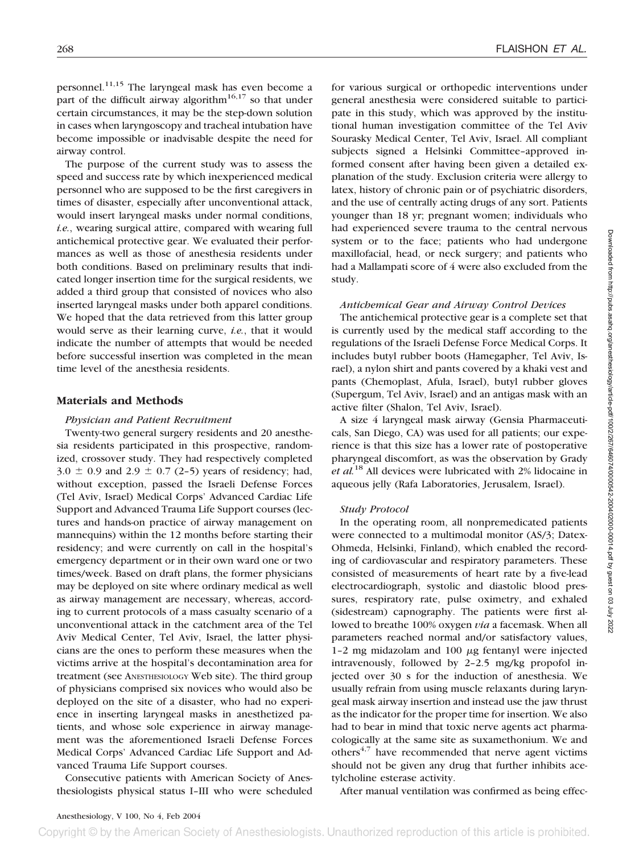personnel.<sup>11,15</sup> The laryngeal mask has even become a part of the difficult airway algorithm<sup>16,17</sup> so that under certain circumstances, it may be the step-down solution in cases when laryngoscopy and tracheal intubation have become impossible or inadvisable despite the need for airway control.

The purpose of the current study was to assess the speed and success rate by which inexperienced medical personnel who are supposed to be the first caregivers in times of disaster, especially after unconventional attack, would insert laryngeal masks under normal conditions, *i.e.*, wearing surgical attire, compared with wearing full antichemical protective gear. We evaluated their performances as well as those of anesthesia residents under both conditions. Based on preliminary results that indicated longer insertion time for the surgical residents, we added a third group that consisted of novices who also inserted laryngeal masks under both apparel conditions. We hoped that the data retrieved from this latter group would serve as their learning curve, *i.e.*, that it would indicate the number of attempts that would be needed before successful insertion was completed in the mean time level of the anesthesia residents.

## **Materials and Methods**

#### *Physician and Patient Recruitment*

Twenty-two general surgery residents and 20 anesthesia residents participated in this prospective, randomized, crossover study. They had respectively completed  $3.0 \pm 0.9$  and  $2.9 \pm 0.7$  (2-5) years of residency; had, without exception, passed the Israeli Defense Forces (Tel Aviv, Israel) Medical Corps' Advanced Cardiac Life Support and Advanced Trauma Life Support courses (lectures and hands-on practice of airway management on mannequins) within the 12 months before starting their residency; and were currently on call in the hospital's emergency department or in their own ward one or two times/week. Based on draft plans, the former physicians may be deployed on site where ordinary medical as well as airway management are necessary, whereas, according to current protocols of a mass casualty scenario of a unconventional attack in the catchment area of the Tel Aviv Medical Center, Tel Aviv, Israel, the latter physicians are the ones to perform these measures when the victims arrive at the hospital's decontamination area for treatment (see ANESTHESIOLOGY Web site). The third group of physicians comprised six novices who would also be deployed on the site of a disaster, who had no experience in inserting laryngeal masks in anesthetized patients, and whose sole experience in airway management was the aforementioned Israeli Defense Forces Medical Corps' Advanced Cardiac Life Support and Advanced Trauma Life Support courses.

Consecutive patients with American Society of Anesthesiologists physical status I–III who were scheduled for various surgical or orthopedic interventions under general anesthesia were considered suitable to participate in this study, which was approved by the institutional human investigation committee of the Tel Aviv Sourasky Medical Center, Tel Aviv, Israel. All compliant subjects signed a Helsinki Committee–approved informed consent after having been given a detailed explanation of the study. Exclusion criteria were allergy to latex, history of chronic pain or of psychiatric disorders, and the use of centrally acting drugs of any sort. Patients younger than 18 yr; pregnant women; individuals who had experienced severe trauma to the central nervous system or to the face; patients who had undergone maxillofacial, head, or neck surgery; and patients who had a Mallampati score of 4 were also excluded from the study.

### *Antichemical Gear and Airway Control Devices*

The antichemical protective gear is a complete set that is currently used by the medical staff according to the regulations of the Israeli Defense Force Medical Corps. It includes butyl rubber boots (Hamegapher, Tel Aviv, Israel), a nylon shirt and pants covered by a khaki vest and pants (Chemoplast, Afula, Israel), butyl rubber gloves (Supergum, Tel Aviv, Israel) and an antigas mask with an active filter (Shalon, Tel Aviv, Israel).

A size 4 laryngeal mask airway (Gensia Pharmaceuticals, San Diego, CA) was used for all patients; our experience is that this size has a lower rate of postoperative pharyngeal discomfort, as was the observation by Grady *et al.*<sup>18</sup> All devices were lubricated with 2% lidocaine in aqueous jelly (Rafa Laboratories, Jerusalem, Israel).

#### *Study Protocol*

In the operating room, all nonpremedicated patients were connected to a multimodal monitor (AS/3; Datex-Ohmeda, Helsinki, Finland), which enabled the recording of cardiovascular and respiratory parameters. These consisted of measurements of heart rate by a five-lead electrocardiograph, systolic and diastolic blood pressures, respiratory rate, pulse oximetry, and exhaled (sidestream) capnography. The patients were first allowed to breathe 100% oxygen *via* a facemask. When all parameters reached normal and/or satisfactory values, 1-2 mg midazolam and 100  $\mu$ g fentanyl were injected intravenously, followed by 2–2.5 mg/kg propofol injected over 30 s for the induction of anesthesia. We usually refrain from using muscle relaxants during laryngeal mask airway insertion and instead use the jaw thrust as the indicator for the proper time for insertion. We also had to bear in mind that toxic nerve agents act pharmacologically at the same site as suxamethonium. We and others $4,7$  have recommended that nerve agent victims should not be given any drug that further inhibits acetylcholine esterase activity.

After manual ventilation was confirmed as being effec-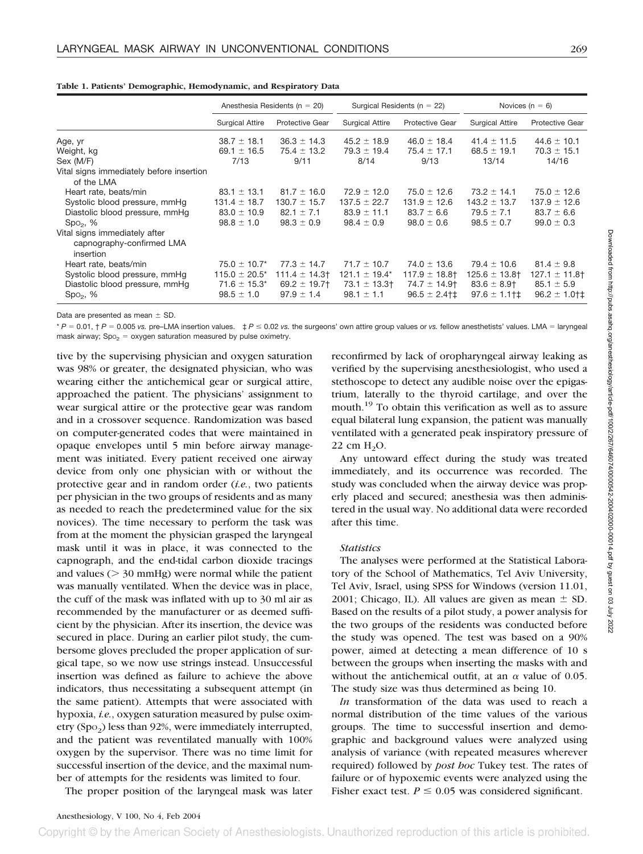|  |  |  |  | Table 1. Patients' Demographic, Hemodynamic, and Respiratory Data |  |
|--|--|--|--|-------------------------------------------------------------------|--|
|  |  |  |  |                                                                   |  |

|                                                                                         | Anesthesia Residents ( $n = 20$ )                         |                                                       | Surgical Residents ( $n = 22$ )                         |                                                            | Novices $(n = 6)$                                         |                                                                |
|-----------------------------------------------------------------------------------------|-----------------------------------------------------------|-------------------------------------------------------|---------------------------------------------------------|------------------------------------------------------------|-----------------------------------------------------------|----------------------------------------------------------------|
|                                                                                         | <b>Surgical Attire</b>                                    | <b>Protective Gear</b>                                | <b>Surgical Attire</b>                                  | <b>Protective Gear</b>                                     | <b>Surgical Attire</b>                                    | <b>Protective Gear</b>                                         |
| Age, yr                                                                                 | $38.7 \pm 18.1$                                           | $36.3 \pm 14.3$                                       | $45.2 \pm 18.9$                                         | $46.0 \pm 18.4$                                            | $41.4 \pm 11.5$                                           | $44.6 \pm 10.1$                                                |
| Weight, kg                                                                              | 69.1 $\pm$ 16.5                                           | $75.4 \pm 13.2$                                       | $79.3 \pm 19.4$                                         | $75.4 \pm 17.1$                                            | $68.5 \pm 19.1$                                           | $70.3 \pm 15.1$                                                |
| Sex (M/F)                                                                               | 7/13                                                      | 9/11                                                  | 8/14                                                    | 9/13                                                       | 13/14                                                     | 14/16                                                          |
| Vital signs immediately before insertion<br>of the LMA                                  |                                                           |                                                       |                                                         |                                                            |                                                           |                                                                |
| Heart rate, beats/min                                                                   | $83.1 \pm 13.1$                                           | $81.7 \pm 16.0$                                       | $72.9 \pm 12.0$                                         | $75.0 \pm 12.6$                                            | $73.2 \pm 14.1$                                           | $75.0 \pm 12.6$                                                |
| Systolic blood pressure, mmHg                                                           | $131.4 \pm 18.7$                                          | $130.7 \pm 15.7$                                      | $137.5 \pm 22.7$                                        | $131.9 \pm 12.6$                                           | $143.2 \pm 13.7$                                          | $137.9 \pm 12.6$                                               |
| Diastolic blood pressure, mmHq                                                          | $83.0 \pm 10.9$                                           | $82.1 \pm 7.1$                                        | $83.9 \pm 11.1$                                         | $83.7 \pm 6.6$                                             | $79.5 \pm 7.1$                                            | $83.7 \pm 6.6$                                                 |
| $Spo2, \%$                                                                              | $98.8 \pm 1.0$                                            | $98.3 \pm 0.9$                                        | $98.4 \pm 0.9$                                          | $98.0 \pm 0.6$                                             | $98.5 \pm 0.7$                                            | $99.0 \pm 0.3$                                                 |
| Vital signs immediately after<br>capnography-confirmed LMA<br>insertion                 |                                                           |                                                       |                                                         |                                                            |                                                           |                                                                |
| Heart rate, beats/min                                                                   | $75.0 \pm 10.7^*$                                         | $77.3 \pm 14.7$                                       | $71.7 \pm 10.7$                                         | $74.0 \pm 13.6$                                            | $79.4 \pm 10.6$                                           | $81.4 \pm 9.8$                                                 |
| Systolic blood pressure, mmHq<br>Diastolic blood pressure, mmHg<br>Spo <sub>2</sub> , % | $115.0 \pm 20.5^*$<br>$71.6 \pm 15.3^*$<br>$98.5 \pm 1.0$ | $111.4 \pm 14.3$<br>$69.2 \pm 19.7$<br>$97.9 \pm 1.4$ | $121.1 \pm 19.4^*$<br>$73.1 \pm 13.3$<br>$98.1 \pm 1.1$ | $117.9 \pm 18.8$ †<br>$74.7 \pm 14.9$<br>$96.5 \pm 2.4$ †‡ | $125.6 \pm 13.8$ †<br>$83.6 \pm 8.9$<br>$97.6 \pm 1.1$ †‡ | $127.1 \pm 11.8$ †<br>$85.1 \pm 5.9$<br>$96.2 \pm 1.0$ t $\pm$ |

Data are presented as mean  $\pm$  SD.

 $* P = 0.01$ ,  $\uparrow P = 0.005$  *vs.* pre–LMA insertion values.  $\downarrow P \le 0.02$  *vs.* the surgeons' own attire group values or *vs.* fellow anesthetists' values. LMA = laryngeal mask airway;  $Spo<sub>2</sub> = oxygen saturation measured by pulse oximetry.$ 

tive by the supervising physician and oxygen saturation was 98% or greater, the designated physician, who was wearing either the antichemical gear or surgical attire, approached the patient. The physicians' assignment to wear surgical attire or the protective gear was random and in a crossover sequence. Randomization was based on computer-generated codes that were maintained in opaque envelopes until 5 min before airway management was initiated. Every patient received one airway device from only one physician with or without the protective gear and in random order (*i.e.*, two patients per physician in the two groups of residents and as many as needed to reach the predetermined value for the six novices). The time necessary to perform the task was from at the moment the physician grasped the laryngeal mask until it was in place, it was connected to the capnograph, and the end-tidal carbon dioxide tracings and values  $(> 30 \text{ mmHg})$  were normal while the patient was manually ventilated. When the device was in place, the cuff of the mask was inflated with up to 30 ml air as recommended by the manufacturer or as deemed sufficient by the physician. After its insertion, the device was secured in place. During an earlier pilot study, the cumbersome gloves precluded the proper application of surgical tape, so we now use strings instead. Unsuccessful insertion was defined as failure to achieve the above indicators, thus necessitating a subsequent attempt (in the same patient). Attempts that were associated with hypoxia, *i.e.*, oxygen saturation measured by pulse oximetry  $(Spo<sub>2</sub>)$  less than 92%, were immediately interrupted, and the patient was reventilated manually with 100% oxygen by the supervisor. There was no time limit for successful insertion of the device, and the maximal number of attempts for the residents was limited to four.

The proper position of the laryngeal mask was later

reconfirmed by lack of oropharyngeal airway leaking as verified by the supervising anesthesiologist, who used a stethoscope to detect any audible noise over the epigastrium, laterally to the thyroid cartilage, and over the mouth.<sup>19</sup> To obtain this verification as well as to assure equal bilateral lung expansion, the patient was manually ventilated with a generated peak inspiratory pressure of  $22 \text{ cm H}_{2}$ O.

Any untoward effect during the study was treated immediately, and its occurrence was recorded. The study was concluded when the airway device was properly placed and secured; anesthesia was then administered in the usual way. No additional data were recorded after this time.

#### *Statistics*

The analyses were performed at the Statistical Laboratory of the School of Mathematics, Tel Aviv University, Tel Aviv, Israel, using SPSS for Windows (version 11.01, 2001; Chicago, IL). All values are given as mean  $\pm$  SD. Based on the results of a pilot study, a power analysis for the two groups of the residents was conducted before the study was opened. The test was based on a 90% power, aimed at detecting a mean difference of 10 s between the groups when inserting the masks with and without the antichemical outfit, at an  $\alpha$  value of 0.05. The study size was thus determined as being 10.

*ln* transformation of the data was used to reach a normal distribution of the time values of the various groups. The time to successful insertion and demographic and background values were analyzed using analysis of variance (with repeated measures wherever required) followed by *post hoc* Tukey test. The rates of failure or of hypoxemic events were analyzed using the Fisher exact test.  $P \le 0.05$  was considered significant.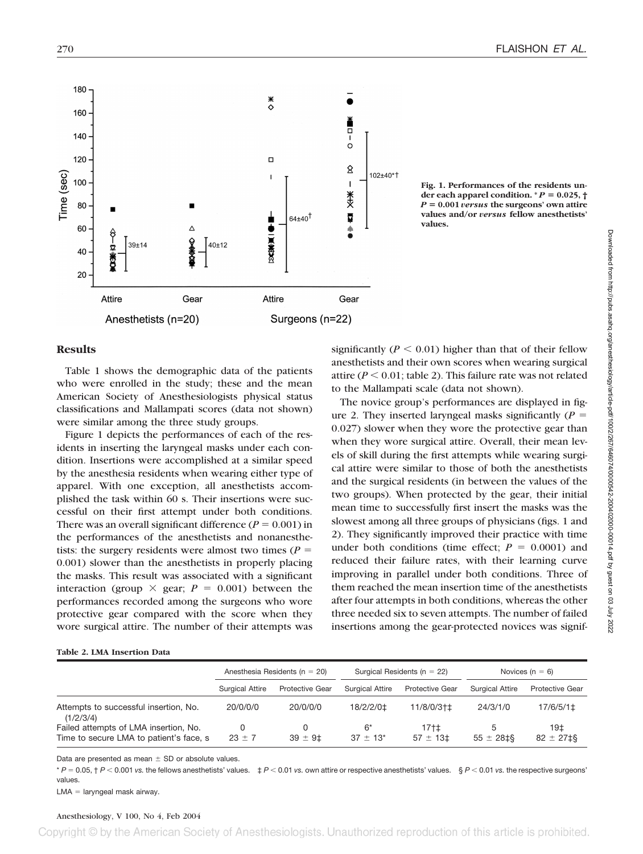

**Fig. 1. Performances of the residents un-** $\text{der each apparent condition.} * P = 0.025, \dagger$ *P* - **0.001** *versus* **the surgeons' own attire values and/or** *versus* **fellow anesthetists' values.**

# **Results**

Table 1 shows the demographic data of the patients who were enrolled in the study; these and the mean American Society of Anesthesiologists physical status classifications and Mallampati scores (data not shown) were similar among the three study groups.

Figure 1 depicts the performances of each of the residents in inserting the laryngeal masks under each condition. Insertions were accomplished at a similar speed by the anesthesia residents when wearing either type of apparel. With one exception, all anesthetists accomplished the task within 60 s. Their insertions were successful on their first attempt under both conditions. There was an overall significant difference  $(P = 0.001)$  in the performances of the anesthetists and nonanesthetists: the surgery residents were almost two times ( $P =$ 0.001) slower than the anesthetists in properly placing the masks. This result was associated with a significant interaction (group  $\times$  gear; *P* = 0.001) between the performances recorded among the surgeons who wore protective gear compared with the score when they wore surgical attire. The number of their attempts was

The novice group's performances are displayed in figure 2. They inserted laryngeal masks significantly  $(P =$ 0.027) slower when they wore the protective gear than when they wore surgical attire. Overall, their mean levels of skill during the first attempts while wearing surgical attire were similar to those of both the anesthetists and the surgical residents (in between the values of the two groups). When protected by the gear, their initial mean time to successfully first insert the masks was the slowest among all three groups of physicians (figs. 1 and 2). They significantly improved their practice with time under both conditions (time effect;  $P = 0.0001$ ) and reduced their failure rates, with their learning curve improving in parallel under both conditions. Three of them reached the mean insertion time of the anesthetists after four attempts in both conditions, whereas the other three needed six to seven attempts. The number of failed insertions among the gear-protected novices was signif-

#### **Table 2. LMA Insertion Data**

|                                                                                  | Anesthesia Residents ( $n = 20$ ) |                        | Surgical Residents ( $n = 22$ ) |                         | Novices $(n = 6)$                  |                                |
|----------------------------------------------------------------------------------|-----------------------------------|------------------------|---------------------------------|-------------------------|------------------------------------|--------------------------------|
|                                                                                  | <b>Surgical Attire</b>            | <b>Protective Gear</b> | <b>Surgical Attire</b>          | <b>Protective Gear</b>  | <b>Surgical Attire</b>             | <b>Protective Gear</b>         |
| Attempts to successful insertion, No.<br>(1/2/3/4)                               | 20/0/0/0                          | 20/0/0/0               | 18/2/2/0±                       | 11/8/0/3+±              | 24/3/1/0                           | 17/6/5/1±                      |
| Failed attempts of LMA insertion, No.<br>Time to secure LMA to patient's face, s | O<br>$23 \pm 7$                   | $39 \pm 9$ ±           | $6*$<br>$37 \pm 13^*$           | $17 + 1$<br>$57 \pm 13$ | $\mathcal{L}$<br>$55 \pm 28 \pm 8$ | 19‡<br>$82 \pm 27\frac{16}{5}$ |

Data are presented as mean  $\pm$  SD or absolute values.

\* *P* 0.05, † *P* 0.001 *vs.* the fellows anesthetists' values. ‡ *P* 0.01 *vs.* own attire or respective anesthetists' values. § *P* 0.01 *vs.* the respective surgeons' values.

 $LMA =$  laryngeal mask airway.

significantly  $(P \le 0.01)$  higher than that of their fellow anesthetists and their own scores when wearing surgical attire ( $P \le 0.01$ ; table 2). This failure rate was not related to the Mallampati scale (data not shown).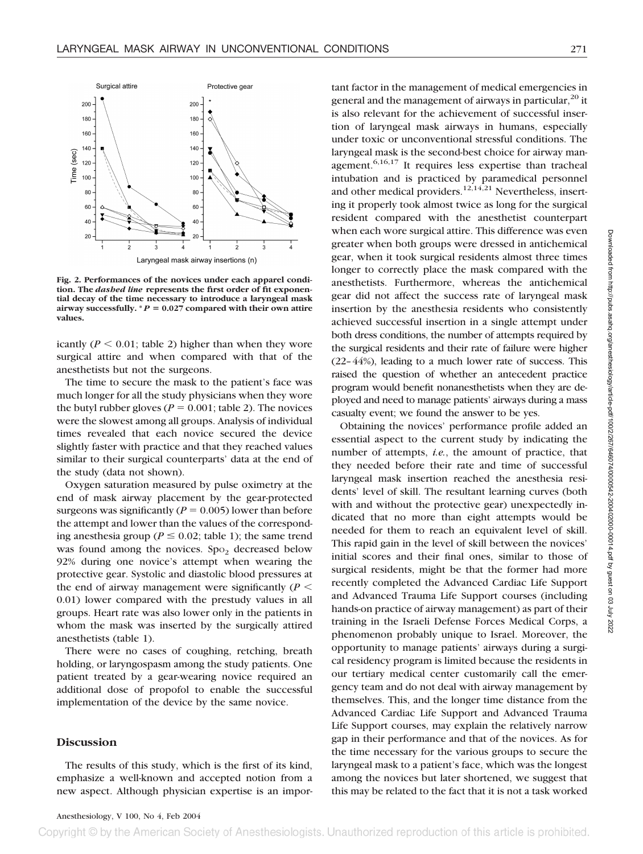

**Fig. 2. Performances of the novices under each apparel condition. The** *dashed line* **represents the first order of fit exponential decay of the time necessary to introduce a laryngeal mask** airway successfully.  $^*P = 0.027$  compared with their own attire **values.**

icantly ( $P \le 0.01$ ; table 2) higher than when they wore surgical attire and when compared with that of the anesthetists but not the surgeons.

The time to secure the mask to the patient's face was much longer for all the study physicians when they wore the butyl rubber gloves ( $P = 0.001$ ; table 2). The novices were the slowest among all groups. Analysis of individual times revealed that each novice secured the device slightly faster with practice and that they reached values similar to their surgical counterparts' data at the end of the study (data not shown).

Oxygen saturation measured by pulse oximetry at the end of mask airway placement by the gear-protected surgeons was significantly ( $P = 0.005$ ) lower than before the attempt and lower than the values of the corresponding anesthesia group ( $P \le 0.02$ ; table 1); the same trend was found among the novices.  $Spo<sub>2</sub>$  decreased below 92% during one novice's attempt when wearing the protective gear. Systolic and diastolic blood pressures at the end of airway management were significantly  $(P \leq$ 0.01) lower compared with the prestudy values in all groups. Heart rate was also lower only in the patients in whom the mask was inserted by the surgically attired anesthetists (table 1).

There were no cases of coughing, retching, breath holding, or laryngospasm among the study patients. One patient treated by a gear-wearing novice required an additional dose of propofol to enable the successful implementation of the device by the same novice.

# **Discussion**

The results of this study, which is the first of its kind, emphasize a well-known and accepted notion from a new aspect. Although physician expertise is an impor-

tant factor in the management of medical emergencies in general and the management of airways in particular,  $^{20}$  it is also relevant for the achievement of successful insertion of laryngeal mask airways in humans, especially under toxic or unconventional stressful conditions. The laryngeal mask is the second-best choice for airway management. $6,16,17$  It requires less expertise than tracheal intubation and is practiced by paramedical personnel and other medical providers.<sup>12,14,21</sup> Nevertheless, inserting it properly took almost twice as long for the surgical resident compared with the anesthetist counterpart when each wore surgical attire. This difference was even greater when both groups were dressed in antichemical gear, when it took surgical residents almost three times longer to correctly place the mask compared with the anesthetists. Furthermore, whereas the antichemical gear did not affect the success rate of laryngeal mask insertion by the anesthesia residents who consistently achieved successful insertion in a single attempt under both dress conditions, the number of attempts required by the surgical residents and their rate of failure were higher (22–44%), leading to a much lower rate of success. This raised the question of whether an antecedent practice program would benefit nonanesthetists when they are deployed and need to manage patients' airways during a mass casualty event; we found the answer to be yes.

Obtaining the novices' performance profile added an essential aspect to the current study by indicating the number of attempts, *i.e.*, the amount of practice, that they needed before their rate and time of successful laryngeal mask insertion reached the anesthesia residents' level of skill. The resultant learning curves (both with and without the protective gear) unexpectedly indicated that no more than eight attempts would be needed for them to reach an equivalent level of skill. This rapid gain in the level of skill between the novices' initial scores and their final ones, similar to those of surgical residents, might be that the former had more recently completed the Advanced Cardiac Life Support and Advanced Trauma Life Support courses (including hands-on practice of airway management) as part of their training in the Israeli Defense Forces Medical Corps, a phenomenon probably unique to Israel. Moreover, the opportunity to manage patients' airways during a surgical residency program is limited because the residents in our tertiary medical center customarily call the emergency team and do not deal with airway management by themselves. This, and the longer time distance from the Advanced Cardiac Life Support and Advanced Trauma Life Support courses, may explain the relatively narrow gap in their performance and that of the novices. As for the time necessary for the various groups to secure the laryngeal mask to a patient's face, which was the longest among the novices but later shortened, we suggest that this may be related to the fact that it is not a task worked

Anesthesiology, V 100, No 4, Feb 2004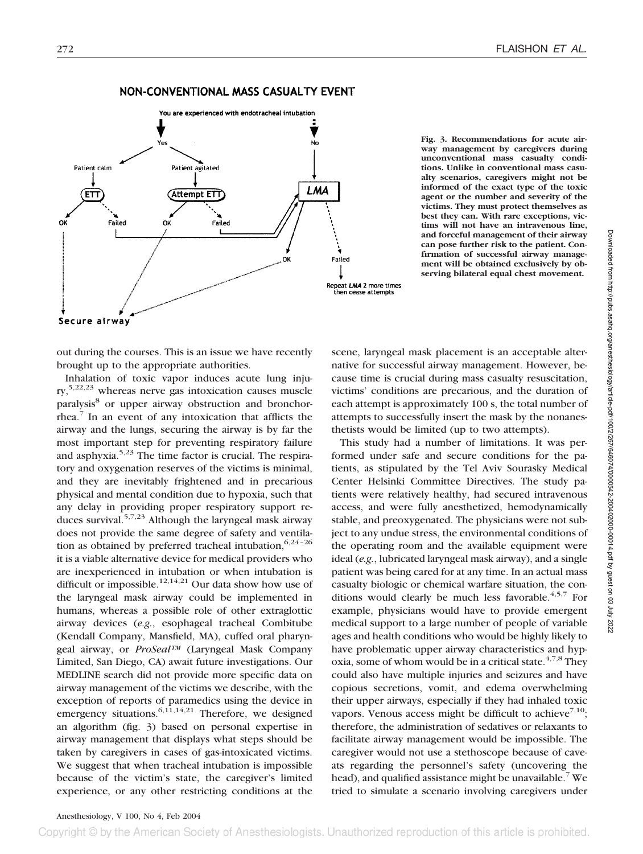# NON-CONVENTIONAL MASS CASUALTY EVENT



**Fig. 3. Recommendations for acute airway management by caregivers during unconventional mass casualty conditions. Unlike in conventional mass casualty scenarios, caregivers might not be informed of the exact type of the toxic agent or the number and severity of the victims. They must protect themselves as best they can. With rare exceptions, victims will not have an intravenous line, and forceful management of their airway can pose further risk to the patient. Confirmation of successful airway management will be obtained exclusively by observing bilateral equal chest movement.**

out during the courses. This is an issue we have recently brought up to the appropriate authorities.

Inhalation of toxic vapor induces acute lung inju $ry,$ <sup>5,22,23</sup> whereas nerve gas intoxication causes muscle paralysis<sup>8</sup> or upper airway obstruction and bronchorrhea.7 In an event of any intoxication that afflicts the airway and the lungs, securing the airway is by far the most important step for preventing respiratory failure and asphyxia.<sup>5,23</sup> The time factor is crucial. The respiratory and oxygenation reserves of the victims is minimal, and they are inevitably frightened and in precarious physical and mental condition due to hypoxia, such that any delay in providing proper respiratory support reduces survival.5,7,23 Although the laryngeal mask airway does not provide the same degree of safety and ventilation as obtained by preferred tracheal intubation,  $6,24-26$ it is a viable alternative device for medical providers who are inexperienced in intubation or when intubation is difficult or impossible.<sup>12,14,21</sup> Our data show how use of the laryngeal mask airway could be implemented in humans, whereas a possible role of other extraglottic airway devices (*e.g.*, esophageal tracheal Combitube (Kendall Company, Mansfield, MA), cuffed oral pharyngeal airway, or *ProSeal™* (Laryngeal Mask Company Limited, San Diego, CA) await future investigations. Our MEDLINE search did not provide more specific data on airway management of the victims we describe, with the exception of reports of paramedics using the device in emergency situations.<sup>6,11,14,21</sup> Therefore, we designed an algorithm (fig. 3) based on personal expertise in airway management that displays what steps should be taken by caregivers in cases of gas-intoxicated victims. We suggest that when tracheal intubation is impossible because of the victim's state, the caregiver's limited experience, or any other restricting conditions at the scene, laryngeal mask placement is an acceptable alternative for successful airway management. However, because time is crucial during mass casualty resuscitation, victims' conditions are precarious, and the duration of each attempt is approximately 100 s, the total number of attempts to successfully insert the mask by the nonanesthetists would be limited (up to two attempts).

This study had a number of limitations. It was performed under safe and secure conditions for the patients, as stipulated by the Tel Aviv Sourasky Medical Center Helsinki Committee Directives. The study patients were relatively healthy, had secured intravenous access, and were fully anesthetized, hemodynamically stable, and preoxygenated. The physicians were not subject to any undue stress, the environmental conditions of the operating room and the available equipment were ideal (*e.g.*, lubricated laryngeal mask airway), and a single patient was being cared for at any time. In an actual mass casualty biologic or chemical warfare situation, the conditions would clearly be much less favorable. $4,5,7$  For example, physicians would have to provide emergent medical support to a large number of people of variable ages and health conditions who would be highly likely to have problematic upper airway characteristics and hypoxia, some of whom would be in a critical state. $4,7,8$  They could also have multiple injuries and seizures and have copious secretions, vomit, and edema overwhelming their upper airways, especially if they had inhaled toxic vapors. Venous access might be difficult to achieve<sup>7,10</sup>; therefore, the administration of sedatives or relaxants to facilitate airway management would be impossible. The caregiver would not use a stethoscope because of caveats regarding the personnel's safety (uncovering the head), and qualified assistance might be unavailable.<sup>7</sup> We tried to simulate a scenario involving caregivers under